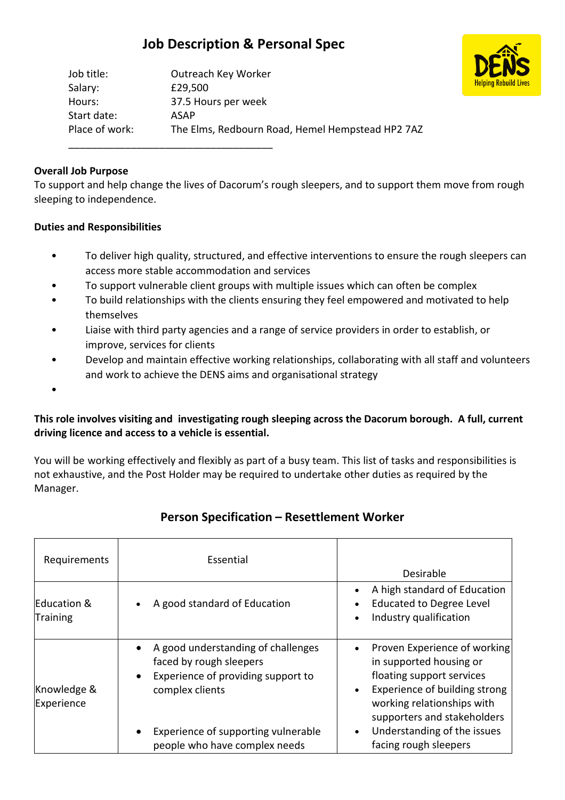# **Job Description & Personal Spec**

| Outreach Key Worker                              |
|--------------------------------------------------|
| £29,500                                          |
| 37.5 Hours per week                              |
| ASAP                                             |
| The Elms, Redbourn Road, Hemel Hempstead HP2 7AZ |
|                                                  |

\_\_\_\_\_\_\_\_\_\_\_\_\_\_\_\_\_\_\_\_\_\_\_\_\_\_\_\_\_\_\_\_\_\_\_\_

#### **Overall Job Purpose**

To support and help change the lives of Dacorum's rough sleepers, and to support them move from rough sleeping to independence.

#### **Duties and Responsibilities**

- To deliver high quality, structured, and effective interventions to ensure the rough sleepers can access more stable accommodation and services
- To support vulnerable client groups with multiple issues which can often be complex
- To build relationships with the clients ensuring they feel empowered and motivated to help themselves
- Liaise with third party agencies and a range of service providers in order to establish, or improve, services for clients
- Develop and maintain effective working relationships, collaborating with all staff and volunteers and work to achieve the DENS aims and organisational strategy

•

### **This role involves visiting and investigating rough sleeping across the Dacorum borough. A full, current driving licence and access to a vehicle is essential.**

You will be working effectively and flexibly as part of a busy team. This list of tasks and responsibilities is not exhaustive, and the Post Holder may be required to undertake other duties as required by the Manager.

| Requirements                   | Essential                                                                                                                                                                                                                | Desirable                                                                                                                                                                                                                                                                         |
|--------------------------------|--------------------------------------------------------------------------------------------------------------------------------------------------------------------------------------------------------------------------|-----------------------------------------------------------------------------------------------------------------------------------------------------------------------------------------------------------------------------------------------------------------------------------|
| Education &<br><b>Training</b> | A good standard of Education<br>$\bullet$                                                                                                                                                                                | A high standard of Education<br><b>Educated to Degree Level</b><br>Industry qualification<br>$\bullet$                                                                                                                                                                            |
| Knowledge &<br>Experience      | A good understanding of challenges<br>faced by rough sleepers<br>Experience of providing support to<br>$\bullet$<br>complex clients<br>Experience of supporting vulnerable<br>$\bullet$<br>people who have complex needs | Proven Experience of working<br>$\bullet$<br>in supported housing or<br>floating support services<br>Experience of building strong<br>$\bullet$<br>working relationships with<br>supporters and stakeholders<br>Understanding of the issues<br>$\bullet$<br>facing rough sleepers |

## **Person Specification – Resettlement Worker**